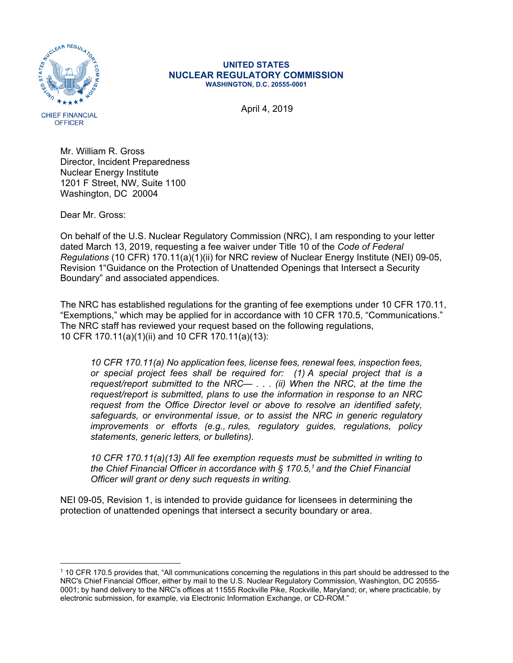

## **UNITED STATES NUCLEAR REGULATORY COMMISSION WASHINGTON, D.C. 20555-0001**

Mr. William R. Gross Director, Incident Preparedness Nuclear Energy Institute 1201 F Street, NW, Suite 1100 Washington, DC 20004

Dear Mr. Gross:

 $\overline{a}$ 

On behalf of the U.S. Nuclear Regulatory Commission (NRC), I am responding to your letter dated March 13, 2019, requesting a fee waiver under Title 10 of the *Code of Federal Regulations* (10 CFR) 170.11(a)(1)(ii) for NRC review of Nuclear Energy Institute (NEI) 09-05, Revision 1"Guidance on the Protection of Unattended Openings that Intersect a Security Boundary" and associated appendices.

The NRC has established regulations for the granting of fee exemptions under 10 CFR 170.11, "Exemptions," which may be applied for in accordance with 10 CFR 170.5, "Communications." The NRC staff has reviewed your request based on the following regulations, 10 CFR 170.11(a)(1)(ii) and 10 CFR 170.11(a)(13):

*10 CFR 170.11(a) No application fees, license fees, renewal fees, inspection fees, or special project fees shall be required for: (1) A special project that is a request/report submitted to the NRC— . . . (ii) When the NRC, at the time the request/report is submitted, plans to use the information in response to an NRC request from the Office Director level or above to resolve an identified safety, safeguards, or environmental issue, or to assist the NRC in generic regulatory improvements or efforts (e.g., rules, regulatory guides, regulations, policy statements, generic letters, or bulletins).* 

*10 CFR 170.11(a)(13) All fee exemption requests must be submitted in writing to the Chief Financial Officer in accordance with § 170.5,1 and the Chief Financial Officer will grant or deny such requests in writing.* 

NEI 09-05, Revision 1, is intended to provide guidance for licensees in determining the protection of unattended openings that intersect a security boundary or area.

<sup>1 10</sup> CFR 170.5 provides that, "All communications concerning the regulations in this part should be addressed to the NRC's Chief Financial Officer, either by mail to the U.S. Nuclear Regulatory Commission, Washington, DC 20555- 0001; by hand delivery to the NRC's offices at 11555 Rockville Pike, Rockville, Maryland; or, where practicable, by electronic submission, for example, via Electronic Information Exchange, or CD-ROM."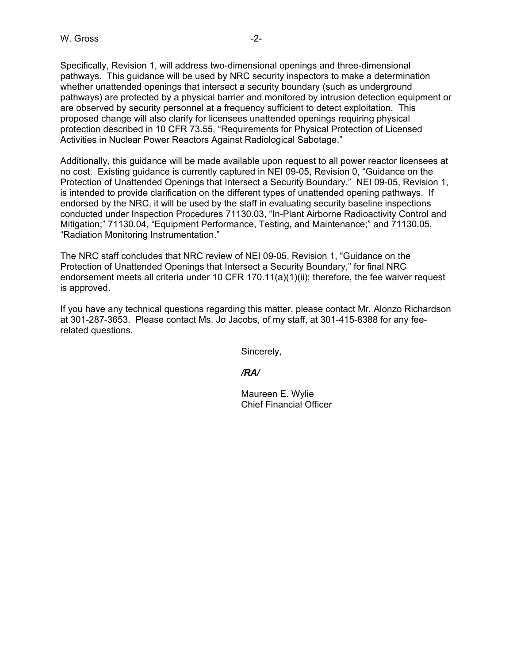Specifically, Revision 1, will address two-dimensional openings and three-dimensional pathways. This guidance will be used by NRC security inspectors to make a determination whether unattended openings that intersect a security boundary (such as underground pathways) are protected by a physical barrier and monitored by intrusion detection equipment or are observed by security personnel at a frequency sufficient to detect exploitation. This proposed change will also clarify for licensees unattended openings requiring physical protection described in 10 CFR 73.55, "Requirements for Physical Protection of Licensed Activities in Nuclear Power Reactors Against Radiological Sabotage."

Additionally, this guidance will be made available upon request to all power reactor licensees at no cost. Existing guidance is currently captured in NEI 09-05, Revision 0, "Guidance on the Protection of Unattended Openings that Intersect a Security Boundary." NEI 09-05, Revision 1, is intended to provide clarification on the different types of unattended opening pathways. If endorsed by the NRC, it will be used by the staff in evaluating security baseline inspections conducted under Inspection Procedures 71130.03, "In-Plant Airborne Radioactivity Control and Mitigation;" 71130.04, "Equipment Performance, Testing, and Maintenance;" and 71130.05, "Radiation Monitoring Instrumentation."

The NRC staff concludes that NRC review of NEI 09-05, Revision 1, "Guidance on the Protection of Unattended Openings that Intersect a Security Boundary," for final NRC endorsement meets all criteria under 10 CFR 170.11(a)(1)(ii); therefore, the fee waiver request is approved.

If you have any technical questions regarding this matter, please contact Mr. Alonzo Richardson at 301-287-3653. Please contact Ms. Jo Jacobs, of my staff, at 301-415-8388 for any feerelated questions.

Sincerely,

*/RA/* 

 Maureen E. Wylie Chief Financial Officer